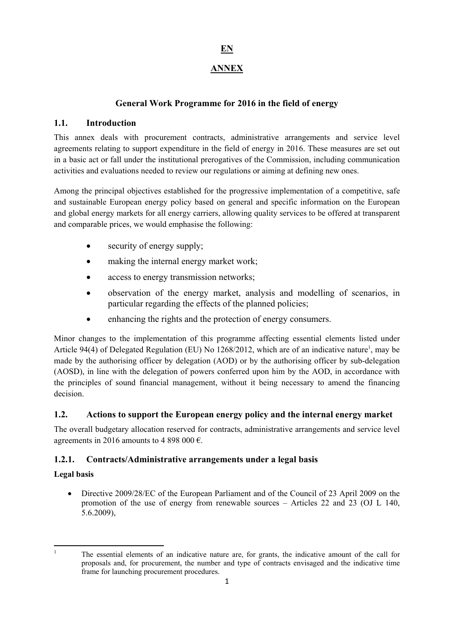# **EN**

# **ANNEX**

# **General Work Programme for 2016 in the field of energy**

# **1.1. Introduction**

This annex deals with procurement contracts, administrative arrangements and service level agreements relating to support expenditure in the field of energy in 2016. These measures are set out in a basic act or fall under the institutional prerogatives of the Commission, including communication activities and evaluations needed to review our regulations or aiming at defining new ones.

Among the principal objectives established for the progressive implementation of a competitive, safe and sustainable European energy policy based on general and specific information on the European and global energy markets for all energy carriers, allowing quality services to be offered at transparent and comparable prices, we would emphasise the following:

- security of energy supply;
- making the internal energy market work;
- access to energy transmission networks;
- observation of the energy market, analysis and modelling of scenarios, in particular regarding the effects of the planned policies;
- enhancing the rights and the protection of energy consumers.

Minor changes to the implementation of this programme affecting essential elements listed under Article 94(4) of Delegated Regulation (EU) No 1268/2012, which are of an indicative nature<sup>1</sup>, may be made by the authorising officer by delegation (AOD) or by the authorising officer by sub-delegation (AOSD), in line with the delegation of powers conferred upon him by the AOD, in accordance with the principles of sound financial management, without it being necessary to amend the financing decision.

# **1.2. Actions to support the European energy policy and the internal energy market**

The overall budgetary allocation reserved for contracts, administrative arrangements and service level agreements in 2016 amounts to 4 898 000  $\epsilon$ .

# **1.2.1. Contracts/Administrative arrangements under a legal basis**

# **Legal basis**

• Directive 2009/28/EC of the European Parliament and of the Council of 23 April 2009 on the promotion of the use of energy from renewable sources – Articles 22 and 23 (OJ L 140, 5.6.2009),

 $\frac{1}{1}$ 

The essential elements of an indicative nature are, for grants, the indicative amount of the call for proposals and, for procurement, the number and type of contracts envisaged and the indicative time frame for launching procurement procedures.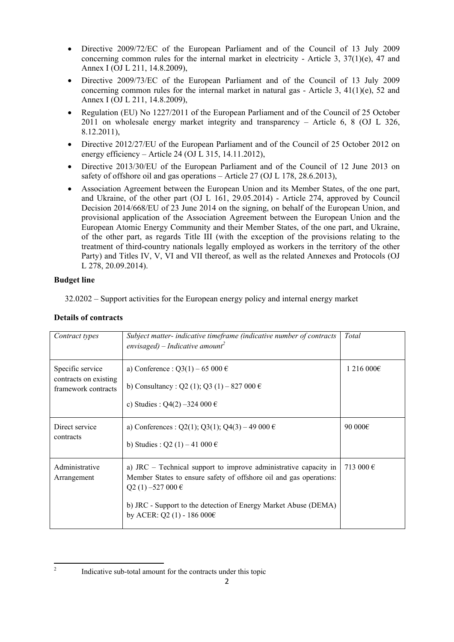- Directive 2009/72/EC of the European Parliament and of the Council of 13 July 2009 concerning common rules for the internal market in electricity - Article 3,  $37(1)(e)$ , 47 and Annex I (OJ L 211, 14.8.2009),
- Directive 2009/73/EC of the European Parliament and of the Council of 13 July 2009 concerning common rules for the internal market in natural gas - Article 3,  $41(1)(e)$ , 52 and Annex I (OJ L 211, 14.8.2009),
- Regulation (EU) No 1227/2011 of the European Parliament and of the Council of 25 October 2011 on wholesale energy market integrity and transparency – Article 6, 8 (OJ L 326, 8.12.2011),
- Directive 2012/27/EU of the European Parliament and of the Council of 25 October 2012 on energy efficiency – Article 24 (OJ L 315, 14.11.2012),
- Directive 2013/30/EU of the European Parliament and of the Council of 12 June 2013 on safety of offshore oil and gas operations – Article 27 (OJ L 178, 28.6.2013),
- Association Agreement between the European Union and its Member States, of the one part, and Ukraine, of the other part (OJ L 161, 29.05.2014) - Article 274, approved by Council Decision 2014/668/EU of 23 June 2014 on the signing, on behalf of the European Union, and provisional application of the Association Agreement between the European Union and the European Atomic Energy Community and their Member States, of the one part, and Ukraine, of the other part, as regards Title III (with the exception of the provisions relating to the treatment of third-country nationals legally employed as workers in the territory of the other Party) and Titles IV, V, VI and VII thereof, as well as the related Annexes and Protocols (OJ L 278, 20.09.2014).

# **Budget line**

 $\frac{1}{2}$ 

32.0202 – Support activities for the European energy policy and internal energy market

#### **Details of contracts**

| Contract types                                                   | Subject matter- indicative timeframe (indicative number of contracts<br>envisaged) – Indicative amount <sup>2</sup>                                                                                                                                             | Total     |
|------------------------------------------------------------------|-----------------------------------------------------------------------------------------------------------------------------------------------------------------------------------------------------------------------------------------------------------------|-----------|
| Specific service<br>contracts on existing<br>framework contracts | a) Conference : Q3(1) – 65 000 €<br>b) Consultancy: Q2 (1); Q3 (1) – 827 000 $\epsilon$<br>c) Studies : Q4(2) -324 000 $\epsilon$                                                                                                                               | 1216000€  |
| Direct service<br>contracts                                      | a) Conferences : Q2(1); Q3(1); Q4(3) – 49 000 €<br>b) Studies : Q2 (1) – 41 000 $\in$                                                                                                                                                                           | 90 000€   |
| Administrative<br>Arrangement                                    | a) JRC – Technical support to improve administrative capacity in<br>Member States to ensure safety of offshore oil and gas operations:<br>$Q2(1) - 527000 \in$<br>b) JRC - Support to the detection of Energy Market Abuse (DEMA)<br>by ACER: Q2 (1) - 186 000€ | 713 000 € |

Indicative sub-total amount for the contracts under this topic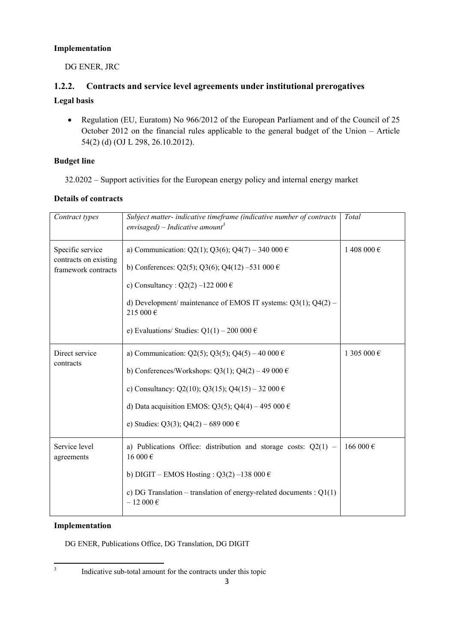## **Implementation**

DG ENER, JRC

# **1.2.2. Contracts and service level agreements under institutional prerogatives**

# **Legal basis**

• Regulation (EU, Euratom) No 966/2012 of the European Parliament and of the Council of 25 October 2012 on the financial rules applicable to the general budget of the Union – Article 54(2) (d) (OJ L 298, 26.10.2012).

### **Budget line**

32.0202 – Support activities for the European energy policy and internal energy market

# **Details of contracts**

| Contract types                                                   | Subject matter- indicative timeframe (indicative number of contracts<br>envisaged) – Indicative amount <sup>3</sup>                                                                                                                                                                          | Total       |
|------------------------------------------------------------------|----------------------------------------------------------------------------------------------------------------------------------------------------------------------------------------------------------------------------------------------------------------------------------------------|-------------|
| Specific service<br>contracts on existing<br>framework contracts | a) Communication: Q2(1); Q3(6); Q4(7) - 340 000 $\epsilon$<br>b) Conferences: Q2(5); Q3(6); Q4(12) -531 000 $\in$<br>c) Consultancy: $Q2(2) -122000 \in$<br>d) Development/ maintenance of EMOS IT systems: $Q3(1)$ ; $Q4(2)$ –<br>215 000€<br>e) Evaluations/ Studies: $Q1(1) - 200000 \in$ | 1 408 000 € |
| Direct service<br>contracts                                      | a) Communication: Q2(5); Q3(5); Q4(5) – 40 000 €<br>b) Conferences/Workshops: $Q3(1)$ ; $Q4(2) - 49000 \in$<br>c) Consultancy: Q2(10); Q3(15); Q4(15) - 32 000 €<br>d) Data acquisition EMOS: Q3(5); Q4(4) – 495 000 €<br>e) Studies: Q3(3); Q4(2) – 689 000 €                               | 1 305 000 € |
| Service level<br>agreements                                      | a) Publications Office: distribution and storage costs: $Q2(1)$ –<br>16000 €<br>b) DIGIT – EMOS Hosting: $Q3(2)$ –138 000 €<br>c) DG Translation – translation of energy-related documents : $Q1(1)$<br>$-12000 \in$                                                                         | 166 000€    |

#### **Implementation**

DG ENER, Publications Office, DG Translation, DG DIGIT

<sup>-&</sup>lt;br>3

Indicative sub-total amount for the contracts under this topic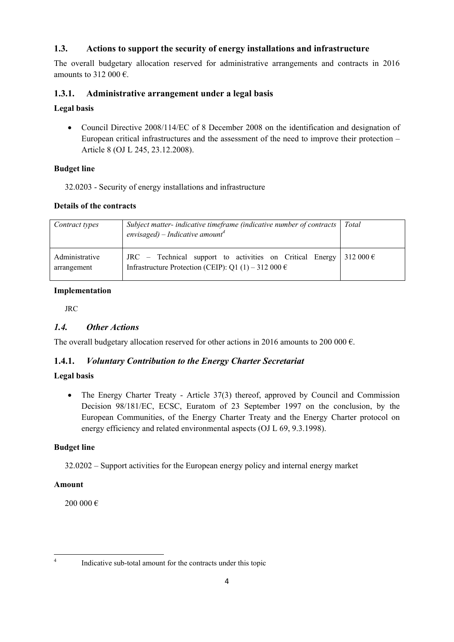# **1.3. Actions to support the security of energy installations and infrastructure**

The overall budgetary allocation reserved for administrative arrangements and contracts in 2016 amounts to 312 000  $\epsilon$ .

## **1.3.1. Administrative arrangement under a legal basis**

### **Legal basis**

• Council Directive 2008/114/EC of 8 December 2008 on the identification and designation of European critical infrastructures and the assessment of the need to improve their protection – Article 8 (OJ L 245, 23.12.2008).

### **Budget line**

32.0203 - Security of energy installations and infrastructure

### **Details of the contracts**

| Contract types                | Subject matter- indicative timeframe (indicative number of contracts  <br>envisaged) – Indicative amount <sup>4</sup>     | Total              |
|-------------------------------|---------------------------------------------------------------------------------------------------------------------------|--------------------|
| Administrative<br>arrangement | JRC – Technical support to activities on Critical Energy<br>Infrastructure Protection (CEIP): Q1 (1) – 312 000 $\epsilon$ | 312 000 $\epsilon$ |

### **Implementation**

JRC

## *1.4. Other Actions*

The overall budgetary allocation reserved for other actions in 2016 amounts to 200 000  $\epsilon$ .

## **1.4.1.** *Voluntary Contribution to the Energy Charter Secretariat*

# **Legal basis**

• The Energy Charter Treaty - Article 37(3) thereof, approved by Council and Commission Decision 98/181/EC, ECSC, Euratom of 23 September 1997 on the conclusion, by the European Communities, of the Energy Charter Treaty and the Energy Charter protocol on energy efficiency and related environmental aspects (OJ L 69, 9.3.1998).

## **Budget line**

32.0202 – Support activities for the European energy policy and internal energy market

#### **Amount**

200 000 €

 $\frac{1}{4}$ 

Indicative sub-total amount for the contracts under this topic